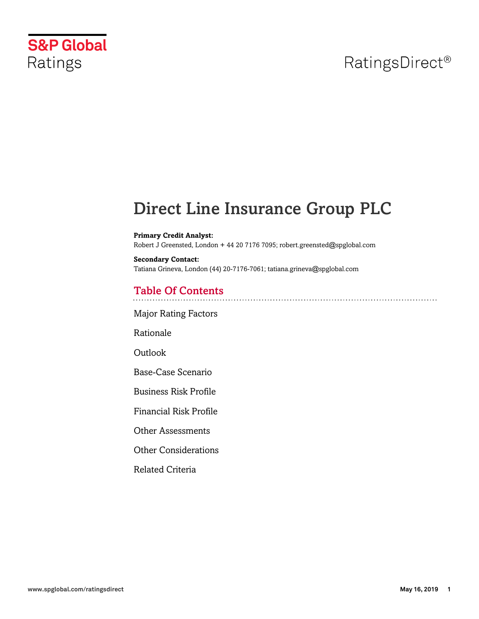# RatingsDirect<sup>®</sup>

# **S&P Global** Ratings

# Direct Line Insurance Group PLC

#### **Primary Credit Analyst:**

Robert J Greensted, London + 44 20 7176 7095; robert.greensted@spglobal.com

**Secondary Contact:** Tatiana Grineva, London (44) 20-7176-7061; tatiana.grineva@spglobal.com

## Table Of Contents

[Major Rating Factors](#page-1-0)

[Rationale](#page-1-1)

Outlook

[Base-Case Scenario](#page-2-0)

[Business Risk Profile](#page-3-0)

[Financial Risk Profile](#page-5-0)

[Other Assessments](#page-6-0)

[Other Considerations](#page-6-1)

[Related Criteria](#page-7-0)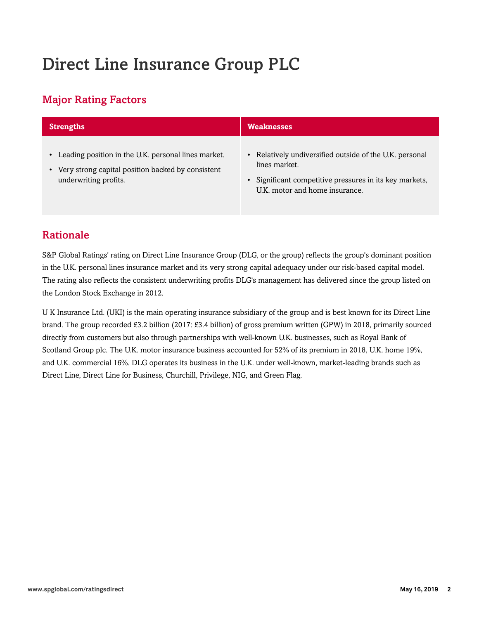# Direct Line Insurance Group PLC

## <span id="page-1-0"></span>Major Rating Factors

| <b>Strengths</b>                                                                                                                      | <b>Weaknesses</b>                                                                                                                                                     |  |  |  |
|---------------------------------------------------------------------------------------------------------------------------------------|-----------------------------------------------------------------------------------------------------------------------------------------------------------------------|--|--|--|
| • Leading position in the U.K. personal lines market.<br>• Very strong capital position backed by consistent<br>underwriting profits. | • Relatively undiversified outside of the U.K. personal<br>lines market.<br>• Significant competitive pressures in its key markets,<br>U.K. motor and home insurance. |  |  |  |

## <span id="page-1-1"></span>Rationale

S&P Global Ratings' rating on Direct Line Insurance Group (DLG, or the group) reflects the group's dominant position in the U.K. personal lines insurance market and its very strong capital adequacy under our risk-based capital model. The rating also reflects the consistent underwriting profits DLG's management has delivered since the group listed on the London Stock Exchange in 2012.

U K Insurance Ltd. (UKI) is the main operating insurance subsidiary of the group and is best known for its Direct Line brand. The group recorded £3.2 billion (2017: £3.4 billion) of gross premium written (GPW) in 2018, primarily sourced directly from customers but also through partnerships with well-known U.K. businesses, such as Royal Bank of Scotland Group plc. The U.K. motor insurance business accounted for 52% of its premium in 2018, U.K. home 19%, and U.K. commercial 16%. DLG operates its business in the U.K. under well-known, market-leading brands such as Direct Line, Direct Line for Business, Churchill, Privilege, NIG, and Green Flag.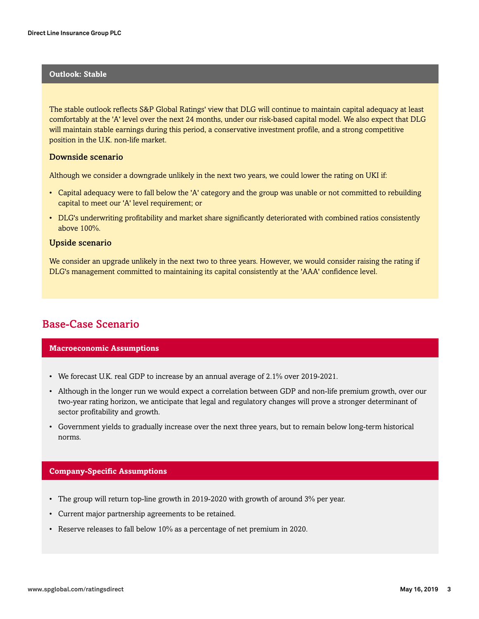#### **Outlook: Stable**

The stable outlook reflects S&P Global Ratings' view that DLG will continue to maintain capital adequacy at least comfortably at the 'A' level over the next 24 months, under our risk-based capital model. We also expect that DLG will maintain stable earnings during this period, a conservative investment profile, and a strong competitive position in the U.K. non-life market.

#### Downside scenario

Although we consider a downgrade unlikely in the next two years, we could lower the rating on UKI if:

- Capital adequacy were to fall below the 'A' category and the group was unable or not committed to rebuilding capital to meet our 'A' level requirement; or
- DLG's underwriting profitability and market share significantly deteriorated with combined ratios consistently above 100%.

#### Upside scenario

We consider an upgrade unlikely in the next two to three years. However, we would consider raising the rating if DLG's management committed to maintaining its capital consistently at the 'AAA' confidence level.

### <span id="page-2-0"></span>Base-Case Scenario

#### **Macroeconomic Assumptions**

- We forecast U.K. real GDP to increase by an annual average of 2.1% over 2019-2021.
- Although in the longer run we would expect a correlation between GDP and non-life premium growth, over our two-year rating horizon, we anticipate that legal and regulatory changes will prove a stronger determinant of sector profitability and growth.
- Government yields to gradually increase over the next three years, but to remain below long-term historical norms.

#### **Company-Specific Assumptions**

- The group will return top-line growth in 2019-2020 with growth of around 3% per year.
- Current major partnership agreements to be retained.
- Reserve releases to fall below 10% as a percentage of net premium in 2020.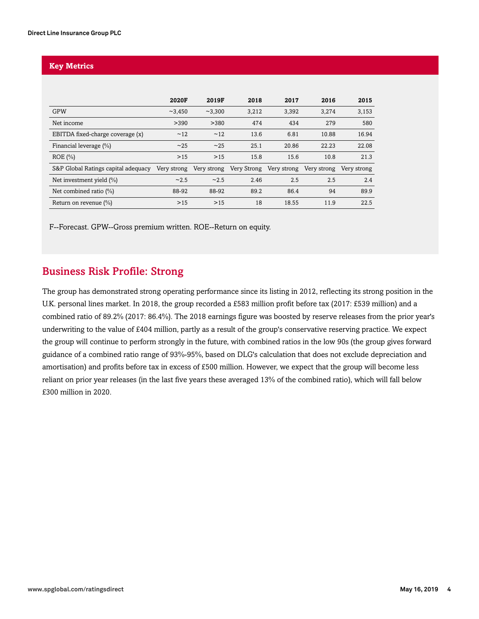### **Key Metrics**

|                                                                                                 | 2020F   | 2019F   | 2018  | 2017  | 2016  | 2015        |
|-------------------------------------------------------------------------------------------------|---------|---------|-------|-------|-------|-------------|
| <b>GPW</b>                                                                                      | ~23.450 | ~23.300 | 3.212 | 3,392 | 3.274 | 3,153       |
| Net income                                                                                      | >390    | >380    | 474   | 434   | 279   | 580         |
| EBITDA fixed-charge coverage (x)                                                                | ~12     | ~12     | 13.6  | 6.81  | 10.88 | 16.94       |
| Financial leverage (%)                                                                          | ~25     | ~25     | 25.1  | 20.86 | 22.23 | 22.08       |
| $ROE (\% )$                                                                                     | $>15$   | $>15$   | 15.8  | 15.6  | 10.8  | 21.3        |
| S&P Global Ratings capital adequacy Very strong Very strong Very Strong Very strong Very strong |         |         |       |       |       | Very strong |
| Net investment yield (%)                                                                        | ~2.5    | $-2.5$  | 2.46  | 2.5   | 2.5   | 2.4         |
| Net combined ratio $(\%)$                                                                       | 88-92   | 88-92   | 89.2  | 86.4  | 94    | 89.9        |
| Return on revenue $(\%)$                                                                        | $>15$   | $>15$   | 18    | 18.55 | 11.9  | 22.5        |

F--Forecast. GPW--Gross premium written. ROE--Return on equity.

## <span id="page-3-0"></span>Business Risk Profile: Strong

The group has demonstrated strong operating performance since its listing in 2012, reflecting its strong position in the U.K. personal lines market. In 2018, the group recorded a £583 million profit before tax (2017: £539 million) and a combined ratio of 89.2% (2017: 86.4%). The 2018 earnings figure was boosted by reserve releases from the prior year's underwriting to the value of £404 million, partly as a result of the group's conservative reserving practice. We expect the group will continue to perform strongly in the future, with combined ratios in the low 90s (the group gives forward guidance of a combined ratio range of 93%-95%, based on DLG's calculation that does not exclude depreciation and amortisation) and profits before tax in excess of £500 million. However, we expect that the group will become less reliant on prior year releases (in the last five years these averaged 13% of the combined ratio), which will fall below £300 million in 2020.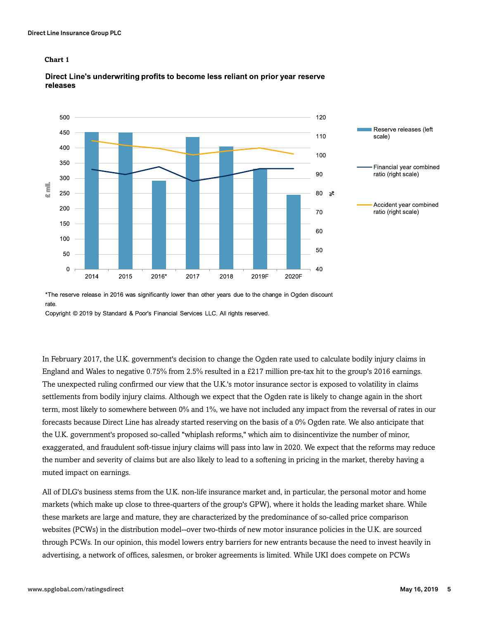#### **Chart 1**



Direct Line's underwriting profits to become less reliant on prior year reserve releases

\*The reserve release in 2016 was significantly lower than other years due to the change in Ogden discount rate

Copyright © 2019 by Standard & Poor's Financial Services LLC. All rights reserved.

In February 2017, the U.K. government's decision to change the Ogden rate used to calculate bodily injury claims in England and Wales to negative 0.75% from 2.5% resulted in a £217 million pre-tax hit to the group's 2016 earnings. The unexpected ruling confirmed our view that the U.K.'s motor insurance sector is exposed to volatility in claims settlements from bodily injury claims. Although we expect that the Ogden rate is likely to change again in the short term, most likely to somewhere between 0% and 1%, we have not included any impact from the reversal of rates in our forecasts because Direct Line has already started reserving on the basis of a 0% Ogden rate. We also anticipate that the U.K. government's proposed so-called "whiplash reforms," which aim to disincentivize the number of minor, exaggerated, and fraudulent soft-tissue injury claims will pass into law in 2020. We expect that the reforms may reduce the number and severity of claims but are also likely to lead to a softening in pricing in the market, thereby having a muted impact on earnings.

All of DLG's business stems from the U.K. non-life insurance market and, in particular, the personal motor and home markets (which make up close to three-quarters of the group's GPW), where it holds the leading market share. While these markets are large and mature, they are characterized by the predominance of so-called price comparison websites (PCWs) in the distribution model--over two-thirds of new motor insurance policies in the U.K. are sourced through PCWs. In our opinion, this model lowers entry barriers for new entrants because the need to invest heavily in advertising, a network of offices, salesmen, or broker agreements is limited. While UKI does compete on PCWs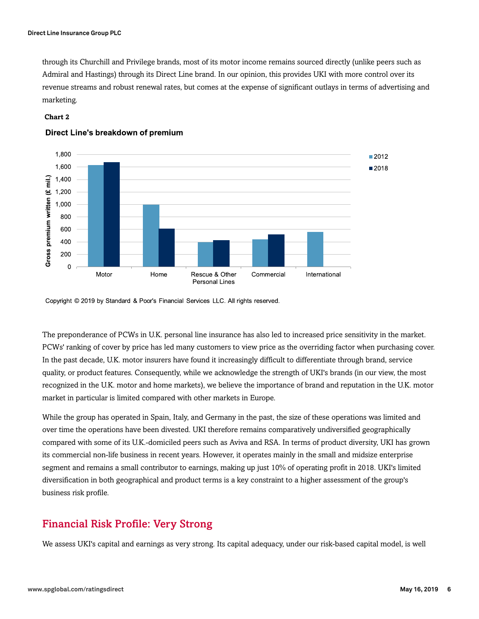through its Churchill and Privilege brands, most of its motor income remains sourced directly (unlike peers such as Admiral and Hastings) through its Direct Line brand. In our opinion, this provides UKI with more control over its revenue streams and robust renewal rates, but comes at the expense of significant outlays in terms of advertising and marketing.

#### **Chart 2**



#### Direct Line's breakdown of premium

Copyright @ 2019 by Standard & Poor's Financial Services LLC. All rights reserved.

The preponderance of PCWs in U.K. personal line insurance has also led to increased price sensitivity in the market. PCWs' ranking of cover by price has led many customers to view price as the overriding factor when purchasing cover. In the past decade, U.K. motor insurers have found it increasingly difficult to differentiate through brand, service quality, or product features. Consequently, while we acknowledge the strength of UKI's brands (in our view, the most recognized in the U.K. motor and home markets), we believe the importance of brand and reputation in the U.K. motor market in particular is limited compared with other markets in Europe.

While the group has operated in Spain, Italy, and Germany in the past, the size of these operations was limited and over time the operations have been divested. UKI therefore remains comparatively undiversified geographically compared with some of its U.K.-domiciled peers such as Aviva and RSA. In terms of product diversity, UKI has grown its commercial non-life business in recent years. However, it operates mainly in the small and midsize enterprise segment and remains a small contributor to earnings, making up just 10% of operating profit in 2018. UKI's limited diversification in both geographical and product terms is a key constraint to a higher assessment of the group's business risk profile.

## <span id="page-5-0"></span>Financial Risk Profile: Very Strong

We assess UKI's capital and earnings as very strong. Its capital adequacy, under our risk-based capital model, is well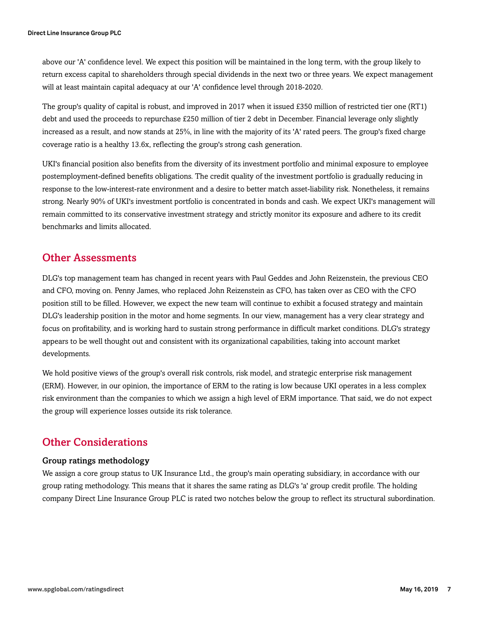above our 'A' confidence level. We expect this position will be maintained in the long term, with the group likely to return excess capital to shareholders through special dividends in the next two or three years. We expect management will at least maintain capital adequacy at our 'A' confidence level through 2018-2020.

The group's quality of capital is robust, and improved in 2017 when it issued £350 million of restricted tier one (RT1) debt and used the proceeds to repurchase £250 million of tier 2 debt in December. Financial leverage only slightly increased as a result, and now stands at 25%, in line with the majority of its 'A' rated peers. The group's fixed charge coverage ratio is a healthy 13.6x, reflecting the group's strong cash generation.

UKI's financial position also benefits from the diversity of its investment portfolio and minimal exposure to employee postemployment-defined benefits obligations. The credit quality of the investment portfolio is gradually reducing in response to the low-interest-rate environment and a desire to better match asset-liability risk. Nonetheless, it remains strong. Nearly 90% of UKI's investment portfolio is concentrated in bonds and cash. We expect UKI's management will remain committed to its conservative investment strategy and strictly monitor its exposure and adhere to its credit benchmarks and limits allocated.

### <span id="page-6-0"></span>Other Assessments

DLG's top management team has changed in recent years with Paul Geddes and John Reizenstein, the previous CEO and CFO, moving on. Penny James, who replaced John Reizenstein as CFO, has taken over as CEO with the CFO position still to be filled. However, we expect the new team will continue to exhibit a focused strategy and maintain DLG's leadership position in the motor and home segments. In our view, management has a very clear strategy and focus on profitability, and is working hard to sustain strong performance in difficult market conditions. DLG's strategy appears to be well thought out and consistent with its organizational capabilities, taking into account market developments.

We hold positive views of the group's overall risk controls, risk model, and strategic enterprise risk management (ERM). However, in our opinion, the importance of ERM to the rating is low because UKI operates in a less complex risk environment than the companies to which we assign a high level of ERM importance. That said, we do not expect the group will experience losses outside its risk tolerance.

### <span id="page-6-1"></span>Other Considerations

#### Group ratings methodology

We assign a core group status to UK Insurance Ltd., the group's main operating subsidiary, in accordance with our group rating methodology. This means that it shares the same rating as DLG's 'a' group credit profile. The holding company Direct Line Insurance Group PLC is rated two notches below the group to reflect its structural subordination.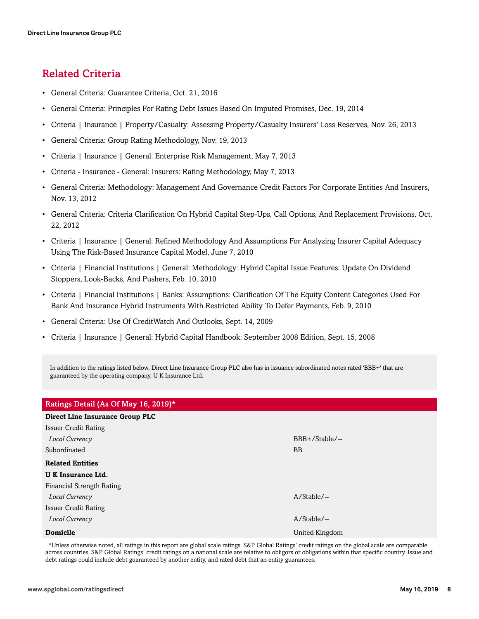## <span id="page-7-0"></span>Related Criteria

- General Criteria: Guarantee Criteria, Oct. 21, 2016
- General Criteria: Principles For Rating Debt Issues Based On Imputed Promises, Dec. 19, 2014
- Criteria | Insurance | Property/Casualty: Assessing Property/Casualty Insurers' Loss Reserves, Nov. 26, 2013
- General Criteria: Group Rating Methodology, Nov. 19, 2013
- Criteria | Insurance | General: Enterprise Risk Management, May 7, 2013
- Criteria Insurance General: Insurers: Rating Methodology, May 7, 2013
- General Criteria: Methodology: Management And Governance Credit Factors For Corporate Entities And Insurers, Nov. 13, 2012
- General Criteria: Criteria Clarification On Hybrid Capital Step-Ups, Call Options, And Replacement Provisions, Oct. 22, 2012
- Criteria | Insurance | General: Refined Methodology And Assumptions For Analyzing Insurer Capital Adequacy Using The Risk-Based Insurance Capital Model, June 7, 2010
- Criteria | Financial Institutions | General: Methodology: Hybrid Capital Issue Features: Update On Dividend Stoppers, Look-Backs, And Pushers, Feb. 10, 2010
- Criteria | Financial Institutions | Banks: Assumptions: Clarification Of The Equity Content Categories Used For Bank And Insurance Hybrid Instruments With Restricted Ability To Defer Payments, Feb. 9, 2010
- General Criteria: Use Of CreditWatch And Outlooks, Sept. 14, 2009
- Criteria | Insurance | General: Hybrid Capital Handbook: September 2008 Edition, Sept. 15, 2008

In addition to the ratings listed below, Direct Line Insurance Group PLC also has in issuance subordinated notes rated 'BBB+' that are guaranteed by the operating company, U K Insurance Ltd.

| Ratings Detail (As Of May 16, 2019)*   |                |  |  |  |
|----------------------------------------|----------------|--|--|--|
| <b>Direct Line Insurance Group PLC</b> |                |  |  |  |
| <b>Issuer Credit Rating</b>            |                |  |  |  |
| Local Currency                         | BBB+/Stable/-- |  |  |  |
| Subordinated                           | <b>BB</b>      |  |  |  |
| <b>Related Entities</b>                |                |  |  |  |
| U K Insurance Ltd.                     |                |  |  |  |
| Financial Strength Rating              |                |  |  |  |
| Local Currency                         | $A/Stable/$ -- |  |  |  |
| <b>Issuer Credit Rating</b>            |                |  |  |  |
| Local Currency                         | A/Stable/--    |  |  |  |
| <b>Domicile</b>                        | United Kingdom |  |  |  |

\*Unless otherwise noted, all ratings in this report are global scale ratings. S&P Global Ratings' credit ratings on the global scale are comparable across countries. S&P Global Ratings' credit ratings on a national scale are relative to obligors or obligations within that specific country. Issue and debt ratings could include debt guaranteed by another entity, and rated debt that an entity guarantees.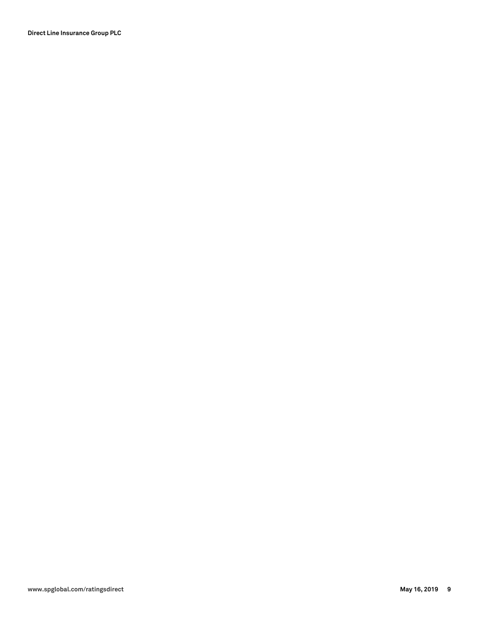**Direct Line Insurance Group PLC**